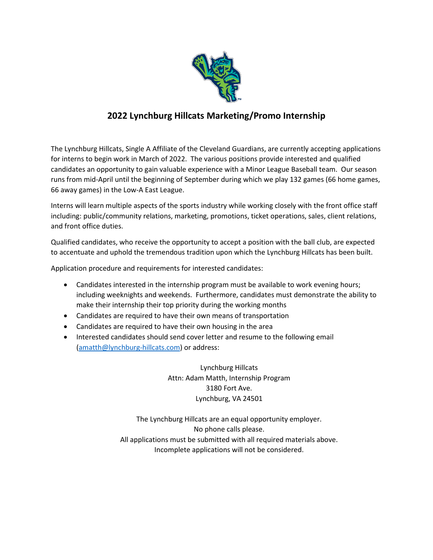

## **2022 Lynchburg Hillcats Marketing/Promo Internship**

The Lynchburg Hillcats, Single A Affiliate of the Cleveland Guardians, are currently accepting applications for interns to begin work in March of 2022. The various positions provide interested and qualified candidates an opportunity to gain valuable experience with a Minor League Baseball team. Our season runs from mid-April until the beginning of September during which we play 132 games (66 home games, 66 away games) in the Low-A East League.

Interns will learn multiple aspects of the sports industry while working closely with the front office staff including: public/community relations, marketing, promotions, ticket operations, sales, client relations, and front office duties.

Qualified candidates, who receive the opportunity to accept a position with the ball club, are expected to accentuate and uphold the tremendous tradition upon which the Lynchburg Hillcats has been built.

Application procedure and requirements for interested candidates:

- Candidates interested in the internship program must be available to work evening hours; including weeknights and weekends. Furthermore, candidates must demonstrate the ability to make their internship their top priority during the working months
- Candidates are required to have their own means of transportation
- Candidates are required to have their own housing in the area
- Interested candidates should send cover letter and resume to the following email [\(amatth@lynchburg-hillcats.com\)](mailto:amatth@lynchburg-hillcats.com) or address:

Lynchburg Hillcats Attn: Adam Matth, Internship Program 3180 Fort Ave. Lynchburg, VA 24501

The Lynchburg Hillcats are an equal opportunity employer. No phone calls please. All applications must be submitted with all required materials above. Incomplete applications will not be considered.